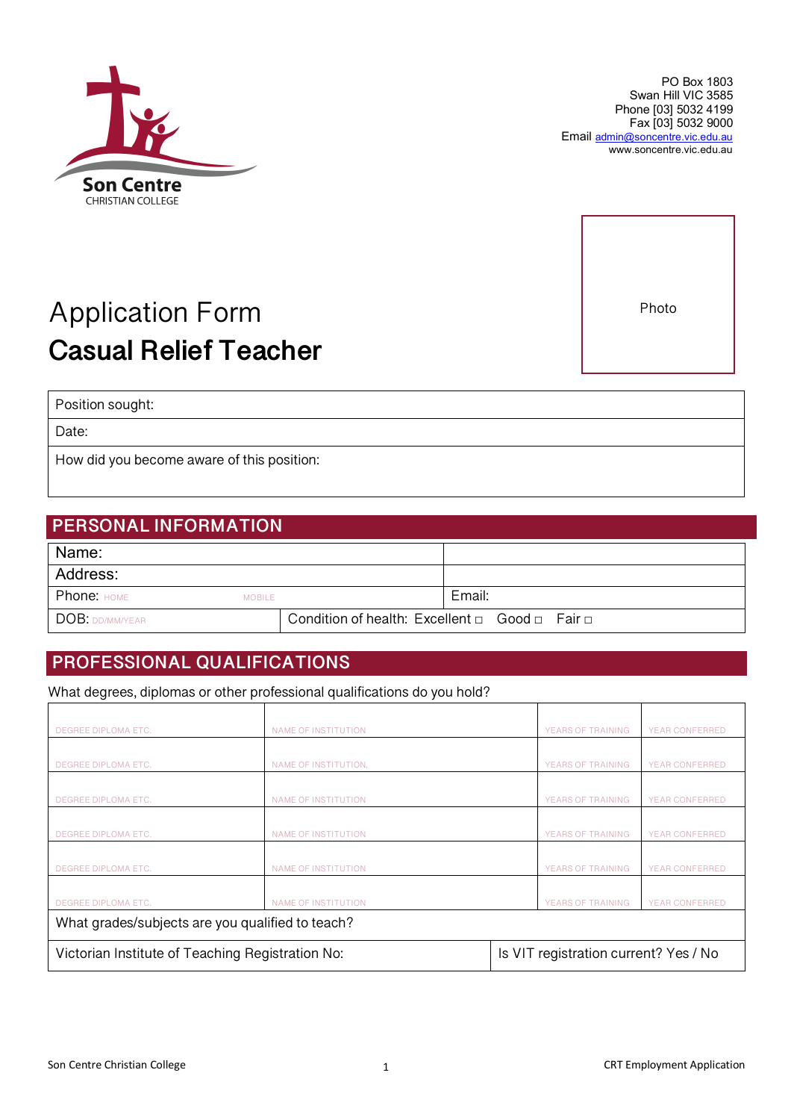

www.soncentre.vic.edu.au

# Application Form **Casual Relief Teacher**

Position sought:

Date:

How did you become aware of this position:

## **PERSONAL INFORMATION**

| Name:             |               |                                                               |        |  |
|-------------------|---------------|---------------------------------------------------------------|--------|--|
| Address:          |               |                                                               |        |  |
| Phone: HOME       | <b>MOBILE</b> |                                                               | Email: |  |
| I DOB: DD/MM/YEAR |               | Condition of health: Excellent $\Box$ Good $\Box$ Fair $\Box$ |        |  |

## **PROFESSIONAL QUALIFICATIONS**

What degrees, diplomas or other professional qualifications do you hold?

| DEGREE DIPLOMA ETC.                              | NAME OF INSTITUTION        |                                       | <b>YEARS OF TRAINING</b> | <b>YEAR CONFERRED</b> |  |
|--------------------------------------------------|----------------------------|---------------------------------------|--------------------------|-----------------------|--|
|                                                  |                            |                                       |                          |                       |  |
| DEGREE DIPLOMA ETC.                              | NAME OF INSTITUTION.       |                                       | YEARS OF TRAINING        | <b>YEAR CONFERRED</b> |  |
|                                                  |                            |                                       |                          |                       |  |
| DEGREE DIPLOMA ETC.                              | NAME OF INSTITUTION        |                                       | YEARS OF TRAINING        | <b>YEAR CONFERRED</b> |  |
|                                                  |                            |                                       |                          |                       |  |
| DEGREE DIPLOMA ETC.                              | NAME OF INSTITUTION        |                                       | YEARS OF TRAINING        | YEAR CONFERRED        |  |
|                                                  |                            |                                       |                          |                       |  |
| DEGREE DIPLOMA ETC.                              | NAME OF INSTITUTION        |                                       | YEARS OF TRAINING        | YEAR CONFERRED        |  |
|                                                  |                            |                                       |                          |                       |  |
| DEGREE DIPLOMA ETC.                              | <b>NAME OF INSTITUTION</b> |                                       | <b>YEARS OF TRAINING</b> | <b>YEAR CONFERRED</b> |  |
| What grades/subjects are you qualified to teach? |                            |                                       |                          |                       |  |
| Victorian Institute of Teaching Registration No: |                            | Is VIT registration current? Yes / No |                          |                       |  |





Email admin@soncentre.vic.edu.au

PO Box 1803 Swan Hill VIC 3585 Phone [03] 5032 4199 Fax [03] 5032 9000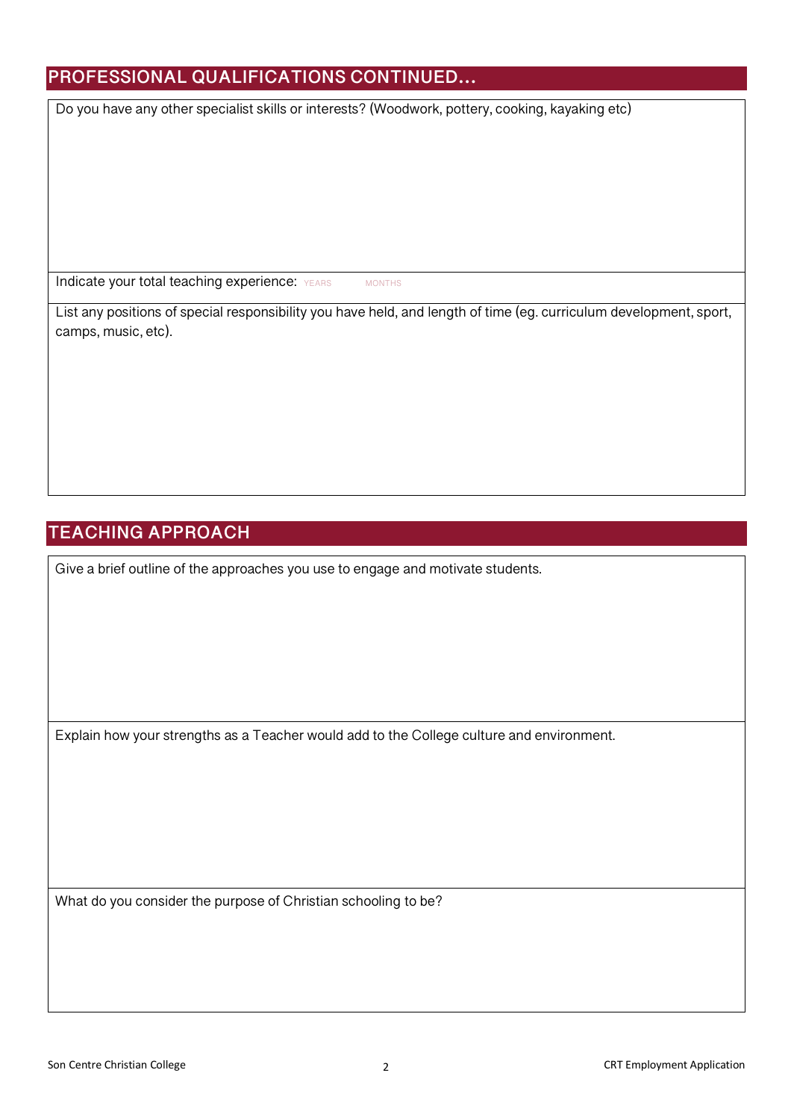## **PROFESSIONAL QUALIFICATIONS CONTINUED…**

Do you have any other specialist skills or interests? (Woodwork, pottery, cooking, kayaking etc)

Indicate your total teaching experience: YEARS MONTHS

List any positions of special responsibility you have held, and length of time (eg. curriculum development, sport, camps, music, etc).

## **TEACHING APPROACH**

Give a brief outline of the approaches you use to engage and motivate students.

Explain how your strengths as a Teacher would add to the College culture and environment.

What do you consider the purpose of Christian schooling to be?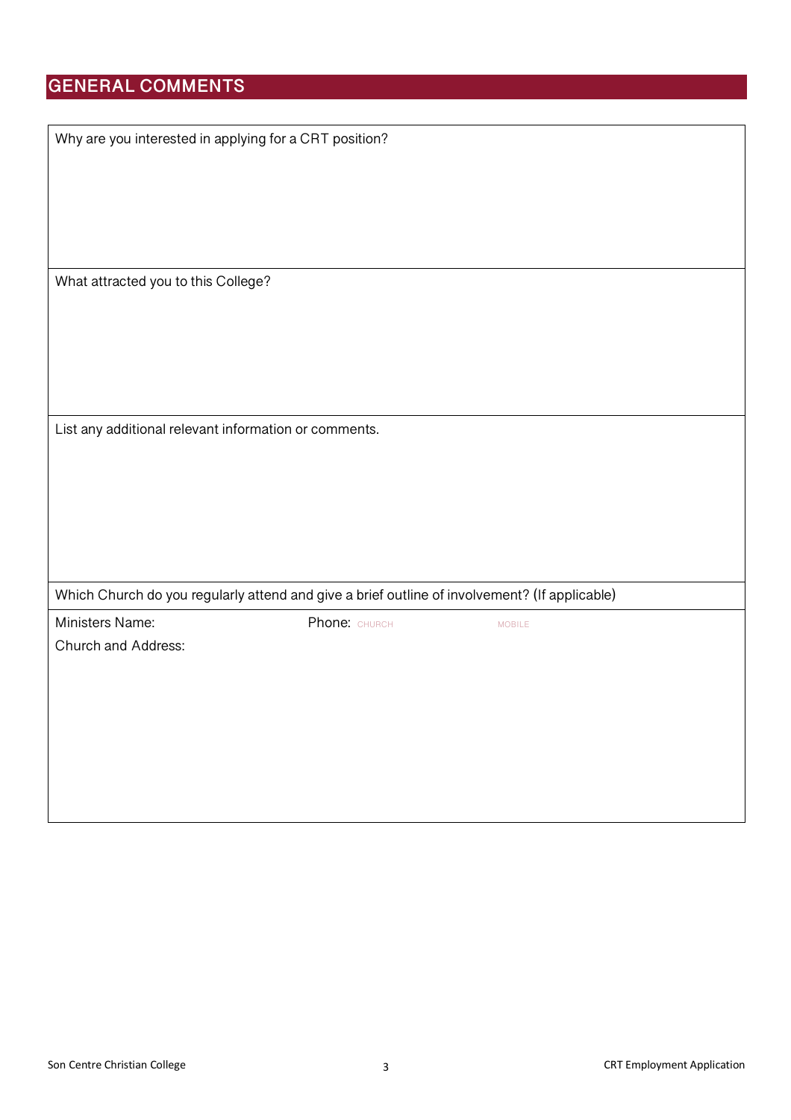## **GENERAL COMMENTS**

| Why are you interested in applying for a CRT position?                                        |               |               |
|-----------------------------------------------------------------------------------------------|---------------|---------------|
|                                                                                               |               |               |
|                                                                                               |               |               |
|                                                                                               |               |               |
|                                                                                               |               |               |
| What attracted you to this College?                                                           |               |               |
|                                                                                               |               |               |
|                                                                                               |               |               |
|                                                                                               |               |               |
|                                                                                               |               |               |
| List any additional relevant information or comments.                                         |               |               |
|                                                                                               |               |               |
|                                                                                               |               |               |
|                                                                                               |               |               |
|                                                                                               |               |               |
| Which Church do you regularly attend and give a brief outline of involvement? (If applicable) |               |               |
| Ministers Name:                                                                               | Phone: CHURCH | <b>MOBILE</b> |
| Church and Address:                                                                           |               |               |
|                                                                                               |               |               |
|                                                                                               |               |               |
|                                                                                               |               |               |
|                                                                                               |               |               |
|                                                                                               |               |               |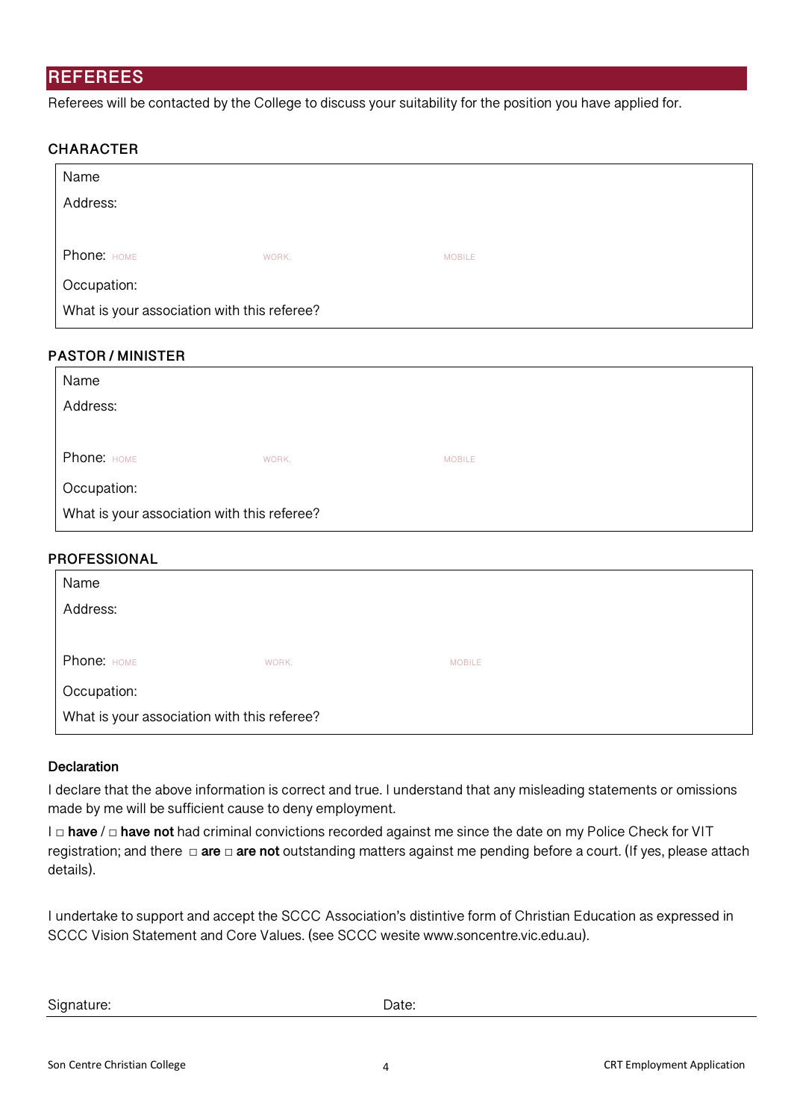### **REFEREES**

Referees will be contacted by the College to discuss your suitability for the position you have applied for.

#### **CHARACTER**

| Name                                        |       |               |  |
|---------------------------------------------|-------|---------------|--|
| Address:                                    |       |               |  |
|                                             |       |               |  |
| Phone: HOME                                 | WORK. | <b>MOBILE</b> |  |
| Occupation:                                 |       |               |  |
| What is your association with this referee? |       |               |  |

#### **PASTOR / MINISTER**

| Name                                        |       |               |  |
|---------------------------------------------|-------|---------------|--|
| Address:                                    |       |               |  |
|                                             |       |               |  |
| Phone: HOME                                 | WORK. | <b>MOBILE</b> |  |
| Occupation:                                 |       |               |  |
| What is your association with this referee? |       |               |  |

#### **PROFESSIONAL**

| Name                                        |       |               |  |
|---------------------------------------------|-------|---------------|--|
| Address:                                    |       |               |  |
|                                             |       |               |  |
| Phone: HOME                                 | WORK. | <b>MOBILE</b> |  |
| Occupation:                                 |       |               |  |
| What is your association with this referee? |       |               |  |

#### **Declaration**

I declare that the above information is correct and true. I understand that any misleading statements or omissions made by me will be sufficient cause to deny employment.

I □ **have** / □ **have not** had criminal convictions recorded against me since the date on my Police Check for VIT registration; and there □ **are** □ **are not** outstanding matters against me pending before a court. (If yes, please attach details).

I undertake to support and accept the SCCC Association's distintive form of Christian Education as expressed in SCCC Vision Statement and Core Values. (see SCCC wesite www.soncentre.vic.edu.au).

Signature: Date: Date: